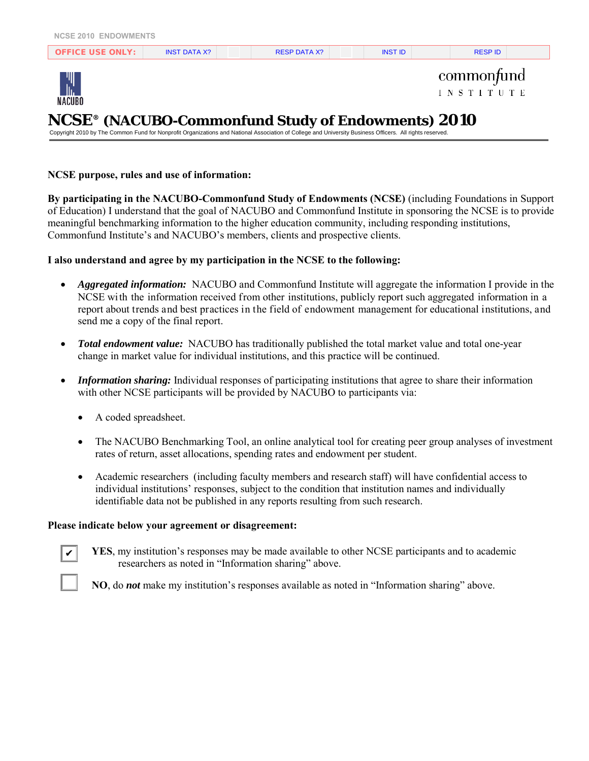| OFFICE LISE ONLY | <b>INST DATA X?</b> | <b>RESP DATA X?</b> | <b>INST ID</b> | <b>RESPID</b> |  |
|------------------|---------------------|---------------------|----------------|---------------|--|
|                  |                     |                     |                |               |  |



commonfund **INSTITUTE** 

# **NCSE® (NACUBO-Commonfund Study of Endowments) 2010**

Copyright 2010 by The Common Fund for Nonprofit Organizations and National Association of College and University Business Officers. All rights reserved.

#### **NCSE purpose, rules and use of information:**

**By participating in the NACUBO-Commonfund Study of Endowments (NCSE)** (including Foundations in Support of Education) I understand that the goal of NACUBO and Commonfund Institute in sponsoring the NCSE is to provide meaningful benchmarking information to the higher education community, including responding institutions, Commonfund Institute's and NACUBO's members, clients and prospective clients.

#### **I also understand and agree by my participation in the NCSE to the following:**

- *Aggregated information:* NACUBO and Commonfund Institute will aggregate the information I provide in the NCSE with the information received from other institutions, publicly report such aggregated information in a report about trends and best practices in the field of endowment management for educational institutions, and send me a copy of the final report.
- *Total endowment value:* NACUBO has traditionally published the total market value and total one-year change in market value for individual institutions, and this practice will be continued.
- *Information sharing:* Individual responses of participating institutions that agree to share their information with other NCSE participants will be provided by NACUBO to participants via:
	- A coded spreadsheet.
	- The NACUBO Benchmarking Tool, an online analytical tool for creating peer group analyses of investment rates of return, asset allocations, spending rates and endowment per student.
	- Academic researchers (including faculty members and research staff) will have confidential access to individual institutions' responses, subject to the condition that institution names and individually identifiable data not be published in any reports resulting from such research.

#### **Please indicate below your agreement or disagreement:**

**YES**, my institution's responses may be made available to other NCSE participants and to academic researchers as noted in "Information sharing" above.

✔

**NO**, do *not* make my institution's responses available as noted in "Information sharing" above.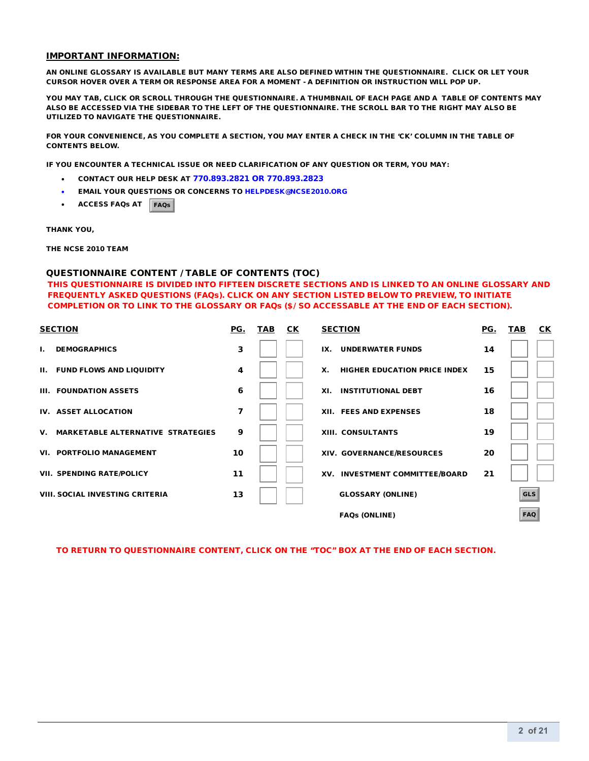#### IMPORTANT INFORMATION:

AN ONLINE GLOSSARY IS AVAILABLE BUT MANY TERMS ARE ALSO DEFINED WITHIN THE QUESTIONNAIRE. CLICK OR LET YOUR CURSOR HOVER OVER A TERM OR RESPONSE AREA FOR A MOMENT - A DEFINITION OR INSTRUCTION WILL POP UP.

YOU MAY TAB, CLICK OR SCROLL THROUGH THE QUESTIONNAIRE. A THUMBNAIL OF EACH PAGE AND A TABLE OF CONTENTS MAY ALSO BE ACCESSED VIA THE SIDEBAR TO THE LEFT OF THE QUESTIONNAIRE. THE SCROLL BAR TO THE RIGHT MAY ALSO BE UTILIZED TO NAVIGATE THE QUESTIONNAIRE.

FOR YOUR CONVENIENCE, AS YOU COMPLETE A SECTION, YOU MAY ENTER A CHECK IN THE 'CK' COLUMN IN THE TABLE OF CONTENTS BELOW.

IF YOU ENCOUNTER A TECHNICAL ISSUE OR NEED CLARIFICATION OF ANY QUESTION OR TERM, YOU MAY:

- CONTACT OUR HELP DESK AT 770.893.2821 OR 770.893.2823
- EMAIL YOUR QUESTIONS OR CONCERNS T[O HELPDESK@NCSE2010.ORG](mailto:HELPDESK@NCSE2010.org)
- ACCESS FAQs AT FAQs

THANK YOU,

THE NCSE 2010 TEAM

#### QUESTIONNAIRE CONTENT / TABLE OF CONTENTS (TOC)

THIS QUESTIONNAIRE IS DIVIDED INTO FIFTEEN DISCRETE SECTIONS AND IS LINKED TO AN ONLINE GLOSSARY AND FREQUENTLY ASKED QUESTIONS (FAQs). CLICK ON ANY SECTION LISTED BELOW TO PREVIEW, TO INITIATE COMPLETION OR TO LINK TO THE GLOSSARY OR FAQs (5GSO ACCESSABLE AT THE END OF EACH SECTION).

| <b>SECTION</b>                                 | PG. | <b>TAB</b> | СK | <b>SECTION</b>                            | PG. | TAB        | CК |
|------------------------------------------------|-----|------------|----|-------------------------------------------|-----|------------|----|
| <b>DEMOGRAPHICS</b><br>Т.                      | 3   |            |    | <b>UNDERWATER FUNDS</b><br>IX.            | 14  |            |    |
| <b>II. FUND FLOWS AND LIQUIDITY</b>            | 4   |            |    | Х.<br><b>HIGHER EDUCATION PRICE INDEX</b> | 15  |            |    |
| III. FOUNDATION ASSETS                         | 6   |            |    | <b>INSTITUTIONAL DEBT</b><br>XI.          | 16  |            |    |
| IV. ASSET ALLOCATION                           | 7   |            |    | XII. FEES AND EXPENSES                    | 18  |            |    |
| <b>MARKETABLE ALTERNATIVE STRATEGIES</b><br>V. | 9   |            |    | <b>XIII. CONSULTANTS</b>                  | 19  |            |    |
| <b>VI. PORTFOLIO MANAGEMENT</b>                | 10  |            |    | XIV. GOVERNANCE/RESOURCES                 | 20  |            |    |
| <b>VII. SPENDING RATE/POLICY</b>               | 11  |            |    | XV. INVESTMENT COMMITTEE/BOARD            | 21  |            |    |
| <b>VIII. SOCIAL INVESTING CRITERIA</b>         | 13  |            |    | <b>GLOSSARY (ONLINE)</b>                  |     | <b>GLS</b> |    |
|                                                |     |            |    | <b>FAQs (ONLINE)</b>                      |     | <b>FAQ</b> |    |

TO RETURN TO QUESTIONNAIRE CONTENT, CLICK ON THE "TOC" BOX AT THE END OF EACH SECTION.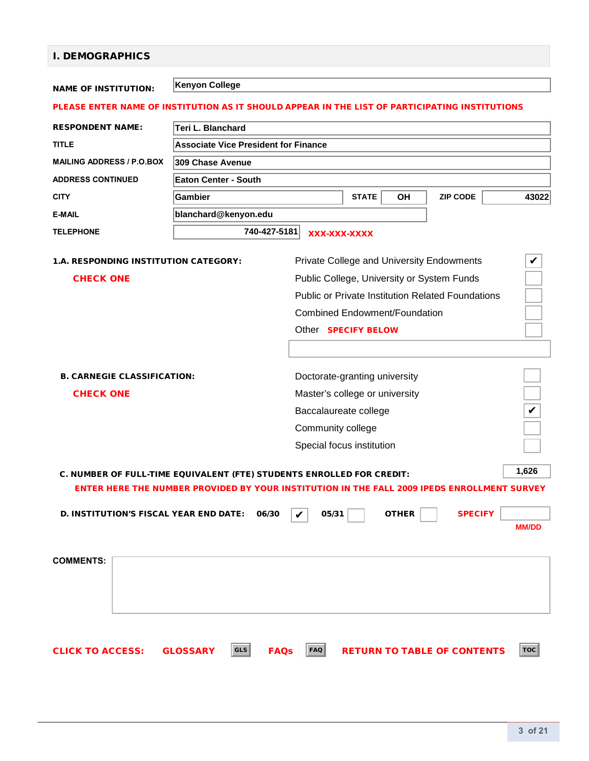## I. DEMOGRAPHICS

|                                                                                                                                                                               | <b>Kenyon College</b>                       |                                                                                                                                                                                                                           |                 |              |  |  |  |
|-------------------------------------------------------------------------------------------------------------------------------------------------------------------------------|---------------------------------------------|---------------------------------------------------------------------------------------------------------------------------------------------------------------------------------------------------------------------------|-----------------|--------------|--|--|--|
| <b>NAME OF INSTITUTION:</b>                                                                                                                                                   |                                             |                                                                                                                                                                                                                           |                 |              |  |  |  |
|                                                                                                                                                                               |                                             | PLEASE ENTER NAME OF INSTITUTION AS IT SHOULD APPEAR IN THE LIST OF PARTICIPATING INSTITUTIONS                                                                                                                            |                 |              |  |  |  |
| <b>RESPONDENT NAME:</b>                                                                                                                                                       | Teri L. Blanchard                           |                                                                                                                                                                                                                           |                 |              |  |  |  |
| <b>TITLE</b>                                                                                                                                                                  | <b>Associate Vice President for Finance</b> |                                                                                                                                                                                                                           |                 |              |  |  |  |
| <b>MAILING ADDRESS / P.O.BOX</b>                                                                                                                                              | 309 Chase Avenue                            |                                                                                                                                                                                                                           |                 |              |  |  |  |
| <b>ADDRESS CONTINUED</b>                                                                                                                                                      | <b>Eaton Center - South</b>                 |                                                                                                                                                                                                                           |                 |              |  |  |  |
| <b>CITY</b>                                                                                                                                                                   | <b>Gambier</b>                              | <b>STATE</b><br>OH                                                                                                                                                                                                        | <b>ZIP CODE</b> | 43022        |  |  |  |
| <b>E-MAIL</b>                                                                                                                                                                 | blanchard@kenyon.edu                        |                                                                                                                                                                                                                           |                 |              |  |  |  |
| <b>TELEPHONE</b>                                                                                                                                                              | 740-427-5181                                | XXX-XXX-XXXX                                                                                                                                                                                                              |                 |              |  |  |  |
| <b>1.A. RESPONDING INSTITUTION CATEGORY:</b><br><b>CHECK ONE</b>                                                                                                              |                                             | Private College and University Endowments<br>Public College, University or System Funds<br><b>Public or Private Institution Related Foundations</b><br><b>Combined Endowment/Foundation</b><br>Other <b>SPECIFY BELOW</b> |                 | V            |  |  |  |
| <b>B. CARNEGIE CLASSIFICATION:</b><br><b>CHECK ONE</b>                                                                                                                        |                                             | Doctorate-granting university<br>Master's college or university<br>Baccalaureate college<br>Community college<br>Special focus institution                                                                                |                 | V            |  |  |  |
| 1,626<br>C. NUMBER OF FULL-TIME EQUIVALENT (FTE) STUDENTS ENROLLED FOR CREDIT:<br>ENTER HERE THE NUMBER PROVIDED BY YOUR INSTITUTION IN THE FALL 2009 IPEDS ENROLLMENT SURVEY |                                             |                                                                                                                                                                                                                           |                 |              |  |  |  |
| <b>D. INSTITUTION'S FISCAL YEAR END DATE:</b>                                                                                                                                 | 06/30                                       | 05/31<br><b>OTHER</b>                                                                                                                                                                                                     | <b>SPECIFY</b>  | <b>MM/DD</b> |  |  |  |
| <b>COMMENTS:</b>                                                                                                                                                              |                                             |                                                                                                                                                                                                                           |                 |              |  |  |  |
| <b>CLICK TO ACCESS:</b>                                                                                                                                                       | GLS<br><b>FAQs</b><br><b>GLOSSARY</b>       | FAQ<br><b>RETURN TO TABLE OF CONTENTS</b>                                                                                                                                                                                 |                 | <b>TOC</b>   |  |  |  |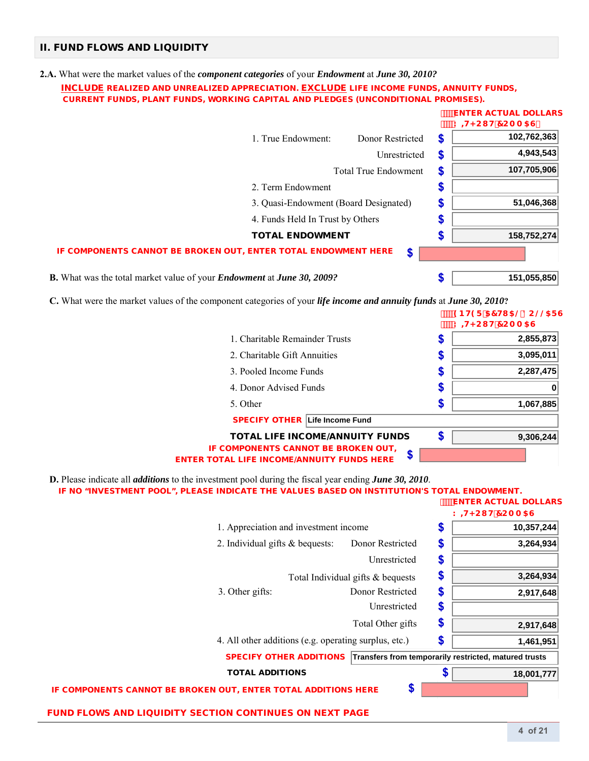### II. FUND FLOWS AND LIQUIDITY

#### **2.A.** What were the market values of the *component categories* of your *Endowment* at *June 30, 2010?*

#### INCLUDE REALIZED AND UNREALIZED APPRECIATION. EXCLUDE LIFE INCOME FUNDS, ANNUITY FUNDS, CURRENT FUNDS, PLANT FUNDS, WORKING CAPITAL AND PLEDGES (UNCONDITIONAL PROMISES).

|                                                                                             |                    |                             |        | <b>ENTER ACTUAL DOLLARS</b><br><b>K +KCI H7CAA5G</b> |
|---------------------------------------------------------------------------------------------|--------------------|-----------------------------|--------|------------------------------------------------------|
|                                                                                             | 1. True Endowment: | Donor Restricted            | \$     | 102,762,363                                          |
|                                                                                             |                    | Unrestricted                | \$     | 4,943,543                                            |
|                                                                                             |                    | <b>Total True Endowment</b> | S      | 107,705,906                                          |
|                                                                                             | 2. Term Endowment  |                             | æ      |                                                      |
| 3. Quasi-Endowment (Board Designated)                                                       |                    |                             | S      | 51,046,368                                           |
| 4. Funds Held In Trust by Others                                                            |                    |                             | œ<br>æ |                                                      |
| <b>TOTAL ENDOWMENT</b>                                                                      |                    |                             |        | 158,752,274                                          |
| IF COMPONENTS CANNOT BE BROKEN OUT, ENTER TOTAL ENDOWMENT HERE                              |                    | \$                          |        |                                                      |
| <b>B.</b> What was the total market value of your <i>Endowment</i> at <i>June</i> 30, 2009? |                    |                             |        | 151,055,850                                          |

**C.** What were the market values of the component categories of your *life income and annuity funds* at *June 30, 2010***?**

| what were the market values of the component categories of your <i>uje income and annuity funds</i> at <i>June 30, 2010?</i> |    |                                                         |
|------------------------------------------------------------------------------------------------------------------------------|----|---------------------------------------------------------|
|                                                                                                                              |    | '9BH9F'57HI5@'8C@@5FG<br>™К <del>II</del> <СІ Н'7САА 5G |
| 1. Charitable Remainder Trusts                                                                                               | จ  | 2,855,873                                               |
| 2. Charitable Gift Annuities                                                                                                 | ъ  | 3,095,011                                               |
| 3. Pooled Income Funds                                                                                                       | æ  | 2,287,475                                               |
| 4. Donor Advised Funds                                                                                                       | 5  |                                                         |
| 5. Other                                                                                                                     | \$ | 1,067,885                                               |
| <b>SPECIFY OTHER Life Income Fund</b>                                                                                        |    |                                                         |
| <b>TOTAL LIFE INCOME/ANNUITY FUNDS</b>                                                                                       | \$ | 9,306,244                                               |
| IF COMPONENTS CANNOT BE BROKEN OUT,<br>œ<br>Φ<br><b>ENTER TOTAL LIFE INCOME/ANNUITY FUNDS HERE</b>                           |    |                                                         |

 **D.** Please indicate all *additions* to the investment pool during the fiscal year ending *June 30, 2010*.

|  | IF NO "INVESTMENT POOL", PLEASE INDICATE THE VALUES BASED ON INSTITUTION'S TOTAL ENDOWMENT. |
|--|---------------------------------------------------------------------------------------------|
|--|---------------------------------------------------------------------------------------------|

**ENTER ACTUAL DOLLARS** 

|                                                                |                                                       | K + K CI H 7 CA A 5 G                                 |
|----------------------------------------------------------------|-------------------------------------------------------|-------------------------------------------------------|
|                                                                | 1. Appreciation and investment income                 | \$<br>10,357,244                                      |
| 2. Individual gifts & bequests:                                | Donor Restricted                                      | \$<br>3,264,934                                       |
|                                                                | Unrestricted                                          | \$                                                    |
|                                                                | Total Individual gifts & bequests                     | \$<br>3,264,934                                       |
| 3. Other gifts:                                                | Donor Restricted                                      | \$<br>2,917,648                                       |
|                                                                | Unrestricted                                          | \$                                                    |
|                                                                | Total Other gifts                                     | \$<br>2,917,648                                       |
|                                                                | 4. All other additions (e.g. operating surplus, etc.) | \$<br>1,461,951                                       |
| <b>SPECIFY OTHER ADDITIONS</b>                                 |                                                       | Transfers from temporarily restricted, matured trusts |
| <b>TOTAL ADDITIONS</b>                                         |                                                       | \$<br>18,001,777                                      |
| IF COMPONENTS CANNOT BE BROKEN OUT, ENTER TOTAL ADDITIONS HERE | \$                                                    |                                                       |
| <b>FUND FLOWS AND LIQUIDITY SECTION CONTINUES ON NEXT PAGE</b> |                                                       |                                                       |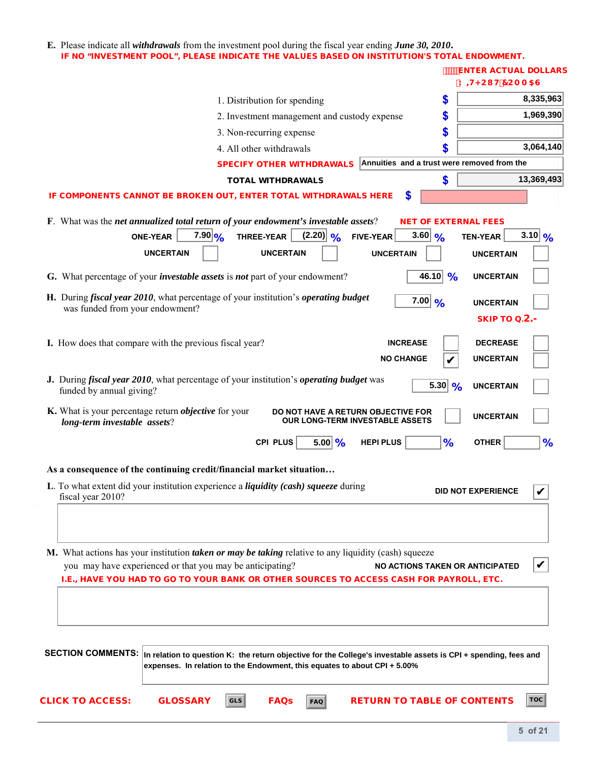#### **E.** Please indicate all *withdrawals* from the investment pool during the fiscal year ending *June 30, 2010***.** IF NO "INVESTMENT POOL", PLEASE INDICATE THE VALUES BASED ON INSTITUTION'S TOTAL ENDOWMENT.

|                                                                                                                                                                                                  |                                                                                                                                                                                              |                              |                                              |                                        |                                                              | <b>ENTER ACTUAL DOLLARS</b><br><b>K H<cl b="" h7caa5g<=""></cl></b> |                       |
|--------------------------------------------------------------------------------------------------------------------------------------------------------------------------------------------------|----------------------------------------------------------------------------------------------------------------------------------------------------------------------------------------------|------------------------------|----------------------------------------------|----------------------------------------|--------------------------------------------------------------|---------------------------------------------------------------------|-----------------------|
|                                                                                                                                                                                                  |                                                                                                                                                                                              | 1. Distribution for spending |                                              |                                        | \$                                                           |                                                                     | 8,335,963             |
|                                                                                                                                                                                                  |                                                                                                                                                                                              |                              | 2. Investment management and custody expense |                                        | \$                                                           |                                                                     | 1,969,390             |
|                                                                                                                                                                                                  |                                                                                                                                                                                              | 3. Non-recurring expense     |                                              |                                        | \$                                                           |                                                                     |                       |
|                                                                                                                                                                                                  |                                                                                                                                                                                              | 4. All other withdrawals     |                                              |                                        | \$                                                           |                                                                     | 3,064,140             |
|                                                                                                                                                                                                  |                                                                                                                                                                                              |                              | <b>SPECIFY OTHER WITHDRAWALS</b>             |                                        | Annuities and a trust were removed from the                  |                                                                     |                       |
|                                                                                                                                                                                                  |                                                                                                                                                                                              | <b>TOTAL WITHDRAWALS</b>     |                                              |                                        | \$                                                           |                                                                     | 13,369,493            |
| IF COMPONENTS CANNOT BE BROKEN OUT, ENTER TOTAL WITHDRAWALS HERE                                                                                                                                 |                                                                                                                                                                                              |                              |                                              |                                        | \$                                                           |                                                                     |                       |
| F. What was the net annualized total return of your endowment's investable assets?<br>G. What percentage of your <i>investable assets</i> is <i>not</i> part of your endowment?                  | $7.90 _{\frac{O}{2}}$<br><b>ONE-YEAR</b><br><b>UNCERTAIN</b>                                                                                                                                 | THREE-YEAR                   | $(2.20)$ %<br><b>UNCERTAIN</b>               | FIVE-YEAR<br><b>UNCERTAIN</b>          | <b>NET OF EXTERNAL FEES</b><br>3.60 $\frac{9}{6}$<br>46.10 % | TEN-YEAR<br><b>UNCERTAIN</b><br><b>UNCERTAIN</b>                    | $3.10 _{\frac{9}{6}}$ |
|                                                                                                                                                                                                  |                                                                                                                                                                                              |                              |                                              |                                        |                                                              |                                                                     |                       |
| H. During fiscal year 2010, what percentage of your institution's operating budget<br>was funded from your endowment?                                                                            |                                                                                                                                                                                              |                              |                                              |                                        | $7.00\,$ %                                                   | <b>UNCERTAIN</b><br><b>SKIP TO 0.2.&gt;</b>                         |                       |
| I. How does that compare with the previous fiscal year?                                                                                                                                          |                                                                                                                                                                                              |                              |                                              |                                        | <b>INCREASE</b>                                              | <b>DECREASE</b>                                                     |                       |
|                                                                                                                                                                                                  |                                                                                                                                                                                              |                              |                                              |                                        | <b>NO CHANGE</b>                                             | <b>UNCERTAIN</b>                                                    |                       |
| J. During <i>fiscal year 2010</i> , what percentage of your institution's <i>operating budget</i> was<br>funded by annual giving?<br>K. What is your percentage return <i>objective</i> for your |                                                                                                                                                                                              |                              | DO NOT HAVE A RETURN OBJECTIVE FOR           |                                        | 5.30 %                                                       | <b>UNCERTAIN</b><br><b>UNCERTAIN</b>                                |                       |
| long-term investable assets?                                                                                                                                                                     |                                                                                                                                                                                              |                              |                                              | <b>OUR LONG-TERM INVESTABLE ASSETS</b> |                                                              |                                                                     |                       |
|                                                                                                                                                                                                  |                                                                                                                                                                                              | CPI PLUS                     | $5.00   \frac{9}{6}$                         | <b>HEPI PLUS</b>                       | %                                                            | <b>OTHER</b>                                                        | %                     |
| As a consequence of the continuing credit/financial market situation                                                                                                                             |                                                                                                                                                                                              |                              |                                              |                                        |                                                              |                                                                     |                       |
| L. To what extent did your institution experience a <i>liquidity (cash) squeeze</i> during<br>fiscal year 2010?                                                                                  |                                                                                                                                                                                              |                              |                                              |                                        |                                                              | <b>DID NOT EXPERIENCE</b>                                           | V                     |
| M. What actions has your institution taken or may be taking relative to any liquidity (cash) squeeze<br>I.E., HAVE YOU HAD TO GO TO YOUR BANK OR OTHER SOURCES TO ACCESS CASH FOR PAYROLL, ETC.  | you may have experienced or that you may be anticipating?                                                                                                                                    |                              |                                              |                                        | NO ACTIONS TAKEN OR ANTICIPATED                              |                                                                     |                       |
| <b>SECTION COMMENTS:</b>                                                                                                                                                                         | In relation to question K: the return objective for the College's investable assets is CPI + spending, fees and<br>expenses. In relation to the Endowment, this equates to about CPI + 5.00% |                              |                                              |                                        |                                                              |                                                                     |                       |
| <b>CLICK TO ACCESS:</b>                                                                                                                                                                          | <b>GLOSSARY</b>                                                                                                                                                                              | <b>GLS</b>                   | <b>FAQs</b><br><b>FAQ</b>                    |                                        | <b>RETURN TO TABLE OF CONTENTS</b>                           |                                                                     | <b>TOC</b>            |
|                                                                                                                                                                                                  |                                                                                                                                                                                              |                              |                                              |                                        |                                                              |                                                                     | 5.0521                |

L,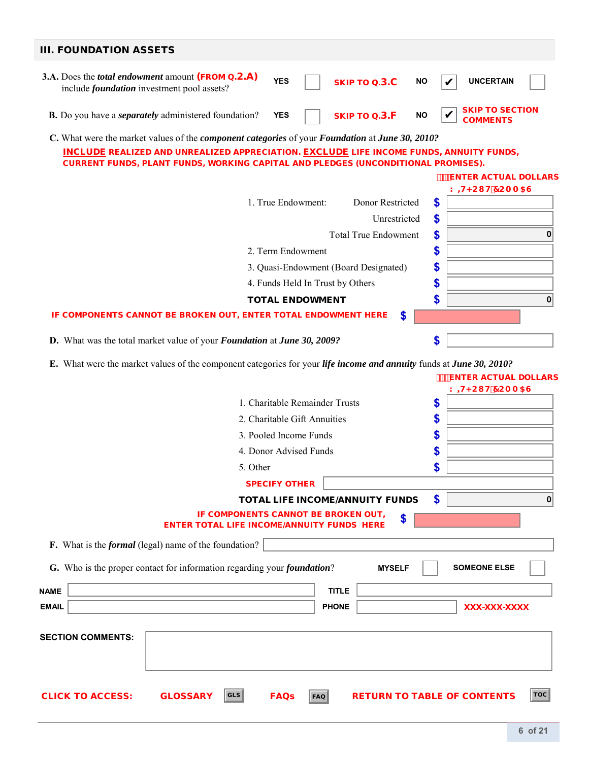| <b>III. FOUNDATION ASSETS</b>                                                                                                                                                                                                                                                                                      |          |
|--------------------------------------------------------------------------------------------------------------------------------------------------------------------------------------------------------------------------------------------------------------------------------------------------------------------|----------|
| 3.A. Does the <i>total endowment</i> amount (FROM Q.2.A)<br><b>YES</b><br><b>UNCERTAIN</b><br><b>SKIP TO Q.3.C</b><br><b>NO</b><br>include <i>foundation</i> investment pool assets?                                                                                                                               |          |
| <b>SKIP TO SECTION</b><br><b>B.</b> Do you have a <i>separately</i> administered foundation?<br><b>SKIP TO Q.3.F</b><br><b>YES</b><br><b>NO</b><br><b>COMMENTS</b>                                                                                                                                                 |          |
| C. What were the market values of the <i>component categories</i> of your <i>Foundation</i> at <i>June 30, 2010?</i><br><b>INCLUDE REALIZED AND UNREALIZED APPRECIATION. EXCLUDE LIFE INCOME FUNDS, ANNUITY FUNDS,</b><br><b>CURRENT FUNDS, PLANT FUNDS, WORKING CAPITAL AND PLEDGES (UNCONDITIONAL PROMISES).</b> |          |
| <b>ENTER ACTUAL DOLLARS</b>                                                                                                                                                                                                                                                                                        |          |
| K <b>H<cl b="" h7caa5g<=""><br/>\$<br/>1. True Endowment:<br/>Donor Restricted</cl></b>                                                                                                                                                                                                                            |          |
| Unrestricted<br>\$                                                                                                                                                                                                                                                                                                 |          |
| \$<br><b>Total True Endowment</b>                                                                                                                                                                                                                                                                                  | 0        |
| \$<br>2. Term Endowment                                                                                                                                                                                                                                                                                            |          |
| \$<br>3. Quasi-Endowment (Board Designated)                                                                                                                                                                                                                                                                        |          |
| \$<br>4. Funds Held In Trust by Others                                                                                                                                                                                                                                                                             |          |
| \$<br><b>TOTAL ENDOWMENT</b>                                                                                                                                                                                                                                                                                       | $\bf{0}$ |
| IF COMPONENTS CANNOT BE BROKEN OUT, ENTER TOTAL ENDOWMENT HERE<br>\$                                                                                                                                                                                                                                               |          |
|                                                                                                                                                                                                                                                                                                                    |          |
| \$<br>D. What was the total market value of your Foundation at June 30, 2009?                                                                                                                                                                                                                                      |          |
| <b>ENTER ACTUAL DOLLARS</b><br>K <b>H</b> <cl h'7caa5g<br="">1. Charitable Remainder Trusts<br/>\$</cl>                                                                                                                                                                                                            |          |
| \$<br>2. Charitable Gift Annuities                                                                                                                                                                                                                                                                                 |          |
| \$<br>3. Pooled Income Funds                                                                                                                                                                                                                                                                                       |          |
| 4. Donor Advised Funds<br>\$                                                                                                                                                                                                                                                                                       |          |
| 5. Other                                                                                                                                                                                                                                                                                                           |          |
| <b>SPECIFY OTHER</b>                                                                                                                                                                                                                                                                                               |          |
| \$<br><b>TOTAL LIFE INCOME/ANNUITY FUNDS</b>                                                                                                                                                                                                                                                                       | $\bf{0}$ |
| IF COMPONENTS CANNOT BE BROKEN OUT,<br>\$<br><b>ENTER TOTAL LIFE INCOME/ANNUITY FUNDS HERE</b>                                                                                                                                                                                                                     |          |
| F. What is the <i>formal</i> (legal) name of the foundation?                                                                                                                                                                                                                                                       |          |
| G. Who is the proper contact for information regarding your <i>foundation</i> ?<br><b>SOMEONE ELSE</b><br><b>MYSELF</b>                                                                                                                                                                                            |          |
| <b>TITLE</b><br><b>NAME</b>                                                                                                                                                                                                                                                                                        |          |
| <b>EMAIL</b><br><b>PHONE</b><br>XXX-XXX-XXXX                                                                                                                                                                                                                                                                       |          |
|                                                                                                                                                                                                                                                                                                                    |          |
| <b>SECTION COMMENTS:</b>                                                                                                                                                                                                                                                                                           |          |
|                                                                                                                                                                                                                                                                                                                    |          |
|                                                                                                                                                                                                                                                                                                                    |          |
|                                                                                                                                                                                                                                                                                                                    |          |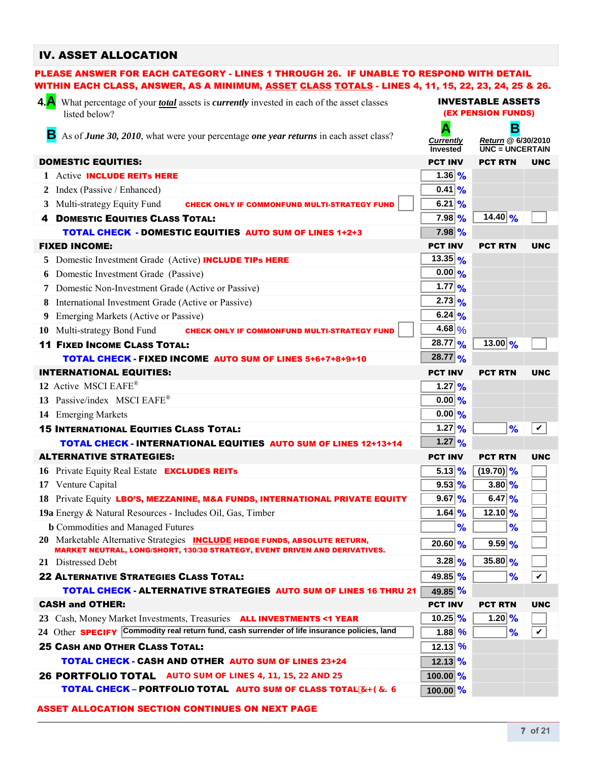## IV. ASSET ALLOCATION

|     | PLEASE ANSWER FOR EACH CATEGORY - LINES 1 THROUGH 26. IF UNABLE TO RESPOND WITH DETAIL                                                                                 |                                                       |                                                         |                         |
|-----|------------------------------------------------------------------------------------------------------------------------------------------------------------------------|-------------------------------------------------------|---------------------------------------------------------|-------------------------|
|     | WITHIN EACH CLASS, ANSWER, AS A MINIMUM, <u>ASSET CLASS TOTALS</u> - LINES 4, 11, 15, 22, 23, 24, 25 & 26.                                                             |                                                       |                                                         |                         |
| 4.A | What percentage of your <i>total</i> assets is <i>currently</i> invested in each of the asset classes<br>listed below?                                                 | <b>INVESTABLE ASSETS</b><br><b>(EX PENSION FUNDS)</b> |                                                         |                         |
|     | В<br>As of June 30, 2010, what were your percentage one year returns in each asset class?                                                                              | Α<br><b>Currently</b><br>Invested                     | в<br>Return @ 6/30/2010<br>$\overline{UNC}$ = UNCERTAIN |                         |
|     | <b>DOMESTIC EQUITIES:</b>                                                                                                                                              | <b>PCT INV</b>                                        | <b>PCT RTN</b>                                          | <b>UNC</b>              |
|     | 1 Active <b>INCLUDE REITS HERE</b>                                                                                                                                     | 1.36   96                                             |                                                         |                         |
| 2   | Index (Passive / Enhanced)                                                                                                                                             | $0.41$ %                                              |                                                         |                         |
| 3   | Multi-strategy Equity Fund<br><b>CHECK ONLY IF COMMONFUND MULTI-STRATEGY FUND</b>                                                                                      | $6.21\%$                                              |                                                         |                         |
| 4   | <b>DOMESTIC EQUITIES CLASS TOTAL:</b>                                                                                                                                  | $7.98\%$                                              | $14.40\frac{9}{6}$                                      |                         |
|     | <b>TOTAL CHECK - DOMESTIC EQUITIES AUTO SUM OF LINES 1+2+3</b>                                                                                                         | $7.98\%$                                              |                                                         |                         |
|     | <b>FIXED INCOME:</b>                                                                                                                                                   | <b>PCT INV</b>                                        | <b>PCT RTN</b>                                          | <b>UNC</b>              |
| 5   | Domestic Investment Grade (Active) INCLUDE TIPs HERE                                                                                                                   | $13.35 _{\frac{9}{6}}$                                |                                                         |                         |
| 6   | Domestic Investment Grade (Passive)                                                                                                                                    | $0.00  _{\%}$                                         |                                                         |                         |
|     | Domestic Non-Investment Grade (Active or Passive)                                                                                                                      | $1.77$ %                                              |                                                         |                         |
| 8   | International Investment Grade (Active or Passive)                                                                                                                     | $2.73 _{\frac{9}{6}}$                                 |                                                         |                         |
| 9   | Emerging Markets (Active or Passive)                                                                                                                                   | 6.24 %                                                |                                                         |                         |
|     | 10 Multi-strategy Bond Fund<br><b>CHECK ONLY IF COMMONFUND MULTI-STRATEGY FUND</b>                                                                                     | 4.68 $\frac{9}{6}$                                    |                                                         |                         |
|     | <b>11 FIXED INCOME CLASS TOTAL:</b>                                                                                                                                    | $28.77\,%$                                            | 13.00 $\frac{9}{6}$                                     |                         |
|     | TOTAL CHECK - FIXED INCOME AUTO SUM OF LINES 5+6+7+8+9+10                                                                                                              | $28.77\frac{9}{6}$                                    |                                                         |                         |
|     | <b>INTERNATIONAL EQUITIES:</b>                                                                                                                                         | <b>PCT INV</b>                                        | <b>PCT RTN</b>                                          | <b>UNC</b>              |
|     | 12 Active MSCI EAFE®                                                                                                                                                   | $1.27\,%$                                             |                                                         |                         |
|     | 13 Passive/index MSCI EAFE®                                                                                                                                            | $0.00   \frac{9}{6}$                                  |                                                         |                         |
|     | 14 Emerging Markets                                                                                                                                                    | $0.00   \frac{9}{6}$                                  |                                                         |                         |
|     | <b>15 INTERNATIONAL EQUITIES CLASS TOTAL:</b>                                                                                                                          | 1.27 $ %$                                             | %                                                       | $\checkmark$            |
|     | <b>TOTAL CHECK - INTERNATIONAL EQUITIES AUTO SUM OF LINES 12+13+14</b>                                                                                                 | $1.27\frac{9}{6}$                                     |                                                         |                         |
|     | <b>ALTERNATIVE STRATEGIES:</b>                                                                                                                                         | <b>PCT INV</b>                                        | <b>PCT RTN</b>                                          | <b>UNC</b>              |
|     | 16 Private Equity Real Estate <b>EXCLUDES REITs</b>                                                                                                                    | $5.13\%$                                              | $(19.70)$ %                                             |                         |
|     | 17 Venture Capital                                                                                                                                                     | $9.53\,%$                                             | $3.80\%$                                                |                         |
|     | 18 Private Equity LBO'S, MEZZANINE, M&A FUNDS, INTERNATIONAL PRIVATE EQUITY                                                                                            | $9.67\,%$                                             | $6.47\frac{9}{6}$                                       |                         |
|     | 19a Energy & Natural Resources - Includes Oil, Gas, Timber                                                                                                             | 1.64 %                                                | $12.10\frac{9}{6}$                                      |                         |
|     | <b>b</b> Commodities and Managed Futures                                                                                                                               | %                                                     | %                                                       |                         |
|     | 20 Marketable Alternative Strategies <b>INCLUDE HEDGE FUNDS, ABSOLUTE RETURN,</b><br><b>MARKET NEUTRAL, LONG/SHORT, 130/30 STRATEGY, EVENT DRIVEN AND DERIVATIVES.</b> | $20.60\,%$                                            | $9.59\%$                                                |                         |
|     | 21 Distressed Debt                                                                                                                                                     | $3.28\,%$                                             | 35.80 $\frac{9}{6}$                                     |                         |
|     | <b>22 ALTERNATIVE STRATEGIES CLASS TOTAL:</b>                                                                                                                          | 49.85 %                                               | %                                                       | $\overline{\mathbf{v}}$ |
|     | <b>TOTAL CHECK - ALTERNATIVE STRATEGIES AUTO SUM OF LINES 16 THRU 21</b>                                                                                               | 49.85 %                                               |                                                         |                         |
|     | <b>CASH and OTHER:</b>                                                                                                                                                 | <b>PCT INV</b>                                        | <b>PCT RTN</b>                                          | <b>UNC</b>              |
| 23  | Cash, Money Market Investments, Treasuries <b>ALL INVESTMENTS &lt;1 YEAR</b>                                                                                           | $10.25\,%$                                            | 1.20 %                                                  |                         |
|     | 24 Other SPECIFY Commodity real return fund, cash surrender of life insurance policies, land                                                                           | $1.88$ %                                              | %                                                       | $\checkmark$            |
|     | <b>25 CASH AND OTHER CLASS TOTAL:</b>                                                                                                                                  | $12.13$ %                                             |                                                         |                         |
|     | <b>TOTAL CHECK - CASH AND OTHER AUTO SUM OF LINES 23+24</b>                                                                                                            | $12.13$ %                                             |                                                         |                         |
|     | 26 PORTFOLIO TOTAL AUTO SUM OF LINES 4, 11, 15, 22 AND 25                                                                                                              | $100.00\frac{9}{6}$                                   |                                                         |                         |
|     | <b>TOTAL CHECK - PORTFOLIO TOTAL AUTO SUM OF CLASS TOTAL 7&lt;97?G</b>                                                                                                 | $100.00\%$                                            |                                                         |                         |
|     |                                                                                                                                                                        |                                                       |                                                         |                         |

#### ASSET ALLOCATION SECTION CONTINUES ON NEXT PAGE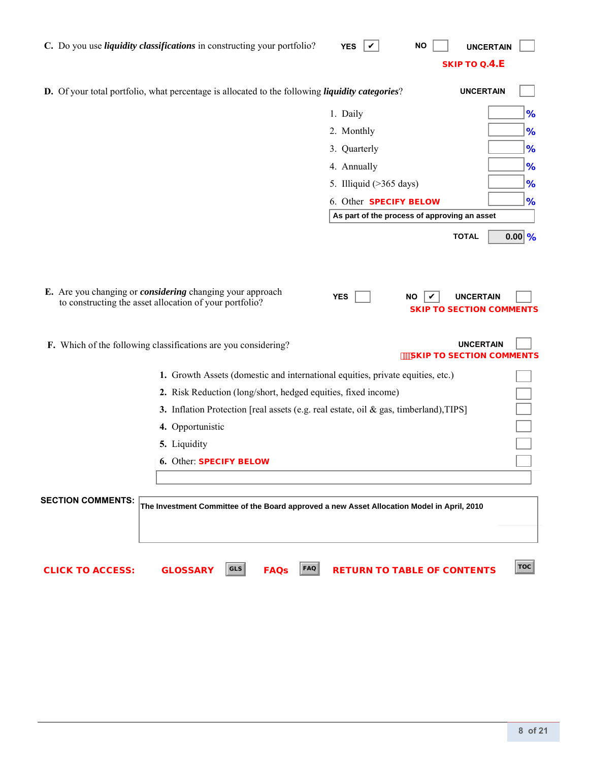| C. Do you use <i>liquidity classifications</i> in constructing your portfolio?                                                                                                                                                                                                                          | <b>YES</b><br><b>NO</b><br>V<br><b>UNCERTAIN</b><br><b>SKIP TO Q.4.E</b>                                                                                                                                                  |
|---------------------------------------------------------------------------------------------------------------------------------------------------------------------------------------------------------------------------------------------------------------------------------------------------------|---------------------------------------------------------------------------------------------------------------------------------------------------------------------------------------------------------------------------|
| D. Of your total portfolio, what percentage is allocated to the following liquidity categories?                                                                                                                                                                                                         | <b>UNCERTAIN</b>                                                                                                                                                                                                          |
|                                                                                                                                                                                                                                                                                                         | 1. Daily<br>%<br>2. Monthly<br>%<br>%<br>3. Quarterly<br>4. Annually<br>%<br>5. Illiquid $($ >365 days)<br>%<br>6. Other SPECIFY BELOW<br>%<br>As part of the process of approving an asset<br>$0.00\,$ %<br><b>TOTAL</b> |
| E. Are you changing or <i>considering</i> changing your approach<br>to constructing the asset allocation of your portfolio?<br>F. Which of the following classifications are you considering?                                                                                                           | <b>YES</b><br><b>UNCERTAIN</b><br><b>NO</b><br><b>SKIP TO SECTION COMMENTS</b><br><b>UNCERTAIN</b><br><b>SKIP TO SECTION COMMENTS</b>                                                                                     |
| 1. Growth Assets (domestic and international equities, private equities, etc.)<br>2. Risk Reduction (long/short, hedged equities, fixed income)<br>3. Inflation Protection [real assets (e.g. real estate, oil & gas, timberland), TIPS]<br>4. Opportunistic<br>5. Liquidity<br>6. Other: SPECIFY BELOW |                                                                                                                                                                                                                           |
| <b>SECTION COMMENTS:</b><br>The Investment Committee of the Board approved a new Asset Allocation Model in April, 2010<br>FAQ<br>GLS<br><b>CLICK TO ACCESS:</b><br><b>GLOSSARY</b><br><b>FAQs</b>                                                                                                       | <b>TOC</b><br><b>RETURN TO TABLE OF CONTENTS</b>                                                                                                                                                                          |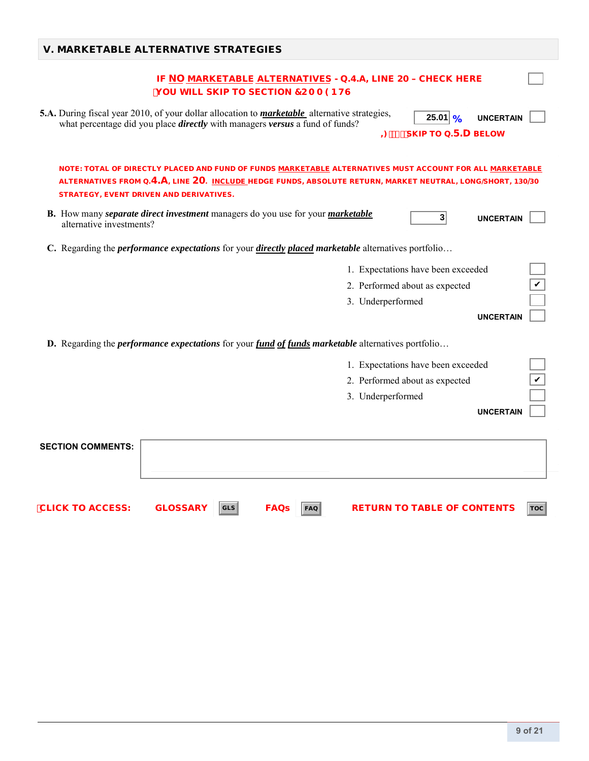| <b>V. MARKETABLE ALTERNATIVE STRATEGIES</b>                                                                                                                                                                                                                                     |  |
|---------------------------------------------------------------------------------------------------------------------------------------------------------------------------------------------------------------------------------------------------------------------------------|--|
| IF NO MARKETABLE ALTERNATIVES - Q.4.A, LINE 20 - CHECK HERE<br><b>YOU WILL SKIP TO SECTION 7CA A 9BHG</b>                                                                                                                                                                       |  |
| 5.A. During fiscal year 2010, of your dollar allocation to <i>marketable</i> alternative strategies,<br>$25.01   \frac{9}{6}$<br><b>UNCERTAIN</b><br>what percentage did you place <i>directly</i> with managers <i>versus</i> a fund of funds?<br>$=$ "\$" SKIP TO Q.5.D BELOW |  |
| NOTE: TOTAL OF DIRECTLY PLACED AND FUND OF FUNDS MARKETABLE ALTERNATIVES MUST ACCOUNT FOR ALL MARKETABLE<br>ALTERNATIVES FROM Q.4.A, LINE 20. INCLUDE HEDGE FUNDS, ABSOLUTE RETURN, MARKET NEUTRAL, LONG/SHORT, 130/30<br><b>STRATEGY, EVENT DRIVEN AND DERIVATIVES.</b>        |  |
| B. How many separate direct investment managers do you use for your marketable<br>3 <sup>2</sup><br><b>UNCERTAIN</b><br>alternative investments?                                                                                                                                |  |
| C. Regarding the <i>performance expectations</i> for your <i>directly placed marketable</i> alternatives portfolio                                                                                                                                                              |  |
| 1. Expectations have been exceeded                                                                                                                                                                                                                                              |  |
| 2. Performed about as expected                                                                                                                                                                                                                                                  |  |
| 3. Underperformed                                                                                                                                                                                                                                                               |  |
| <b>UNCERTAIN</b>                                                                                                                                                                                                                                                                |  |
| <b>D.</b> Regarding the <i>performance expectations</i> for your <i>fund of funds marketable</i> alternatives portfolio                                                                                                                                                         |  |
| 1. Expectations have been exceeded                                                                                                                                                                                                                                              |  |
| 2. Performed about as expected                                                                                                                                                                                                                                                  |  |
| 3. Underperformed                                                                                                                                                                                                                                                               |  |
| <b>UNCERTAIN</b>                                                                                                                                                                                                                                                                |  |
|                                                                                                                                                                                                                                                                                 |  |
| <b>SECTION COMMENTS:</b>                                                                                                                                                                                                                                                        |  |
|                                                                                                                                                                                                                                                                                 |  |
|                                                                                                                                                                                                                                                                                 |  |

 $\overline{C}$  CLICK TO ACCESS: GLOSSARY  $|\overline{cls}|$  FAQs  $|\overline{ra}$  RETURN TO TABLE OF CONTENTS  $|\overline{roc}$ 

**9 of 21**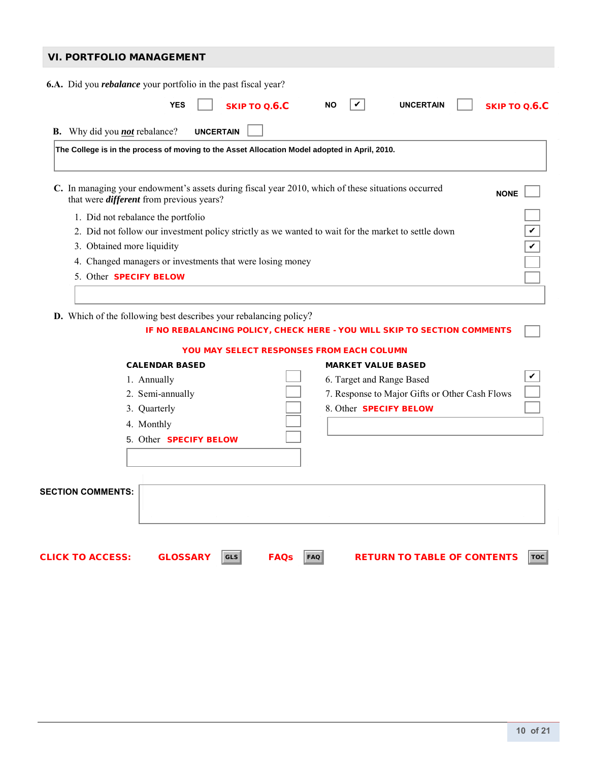| <b>VI. PORTFOLIO MANAGEMENT</b>                                                                                                                       |               |  |  |  |  |
|-------------------------------------------------------------------------------------------------------------------------------------------------------|---------------|--|--|--|--|
| <b>6.A.</b> Did you <i>rebalance</i> your portfolio in the past fiscal year?                                                                          |               |  |  |  |  |
| SKIP TO Q.6.C<br><b>YES</b><br><b>UNCERTAIN</b><br><b>NO</b>                                                                                          | SKIP TO O.6.C |  |  |  |  |
|                                                                                                                                                       |               |  |  |  |  |
| Why did you <b>not</b> rebalance?<br><b>UNCERTAIN</b><br>В.                                                                                           |               |  |  |  |  |
| The College is in the process of moving to the Asset Allocation Model adopted in April, 2010.                                                         |               |  |  |  |  |
|                                                                                                                                                       |               |  |  |  |  |
|                                                                                                                                                       |               |  |  |  |  |
| C. In managing your endowment's assets during fiscal year 2010, which of these situations occurred<br>that were <i>different</i> from previous years? | <b>NONE</b>   |  |  |  |  |
| 1. Did not rebalance the portfolio                                                                                                                    |               |  |  |  |  |
| 2. Did not follow our investment policy strictly as we wanted to wait for the market to settle down                                                   |               |  |  |  |  |
| 3. Obtained more liquidity                                                                                                                            |               |  |  |  |  |
| 4. Changed managers or investments that were losing money                                                                                             |               |  |  |  |  |
| 5 Other <b>SPECIFY BELOW</b>                                                                                                                          |               |  |  |  |  |
|                                                                                                                                                       |               |  |  |  |  |
|                                                                                                                                                       |               |  |  |  |  |

 **D.** Which of the following best describes your rebalancing policy?

|                          |                               |                           | IF NO REBALANCING POLICY, CHECK HERE - YOU WILL SKIP TO SECTION COMMENTS |     |
|--------------------------|-------------------------------|---------------------------|--------------------------------------------------------------------------|-----|
|                          |                               |                           | <b>YOU MAY SELECT RESPONSES FROM EACH COLUMN</b>                         |     |
|                          | <b>CALENDAR BASED</b>         |                           | <b>MARKET VALUE BASED</b>                                                |     |
|                          | 1. Annually                   |                           | 6. Target and Range Based                                                | V   |
|                          | 2. Semi-annually              |                           | 7. Response to Major Gifts or Other Cash Flows                           |     |
|                          | 3. Quarterly                  |                           | 8. Other <b>SPECIFY BELOW</b>                                            |     |
|                          | 4. Monthly                    |                           |                                                                          |     |
|                          | 5. Other <b>SPECIFY BELOW</b> |                           |                                                                          |     |
|                          |                               |                           |                                                                          |     |
|                          |                               |                           |                                                                          |     |
| <b>SECTION COMMENTS:</b> |                               |                           |                                                                          |     |
| <b>CLICK TO ACCESS:</b>  | <b>GLOSSARY</b><br><b>GLS</b> | <b>FAQs</b><br><b>FAQ</b> | <b>RETURN TO TABLE OF CONTENTS</b>                                       | TOC |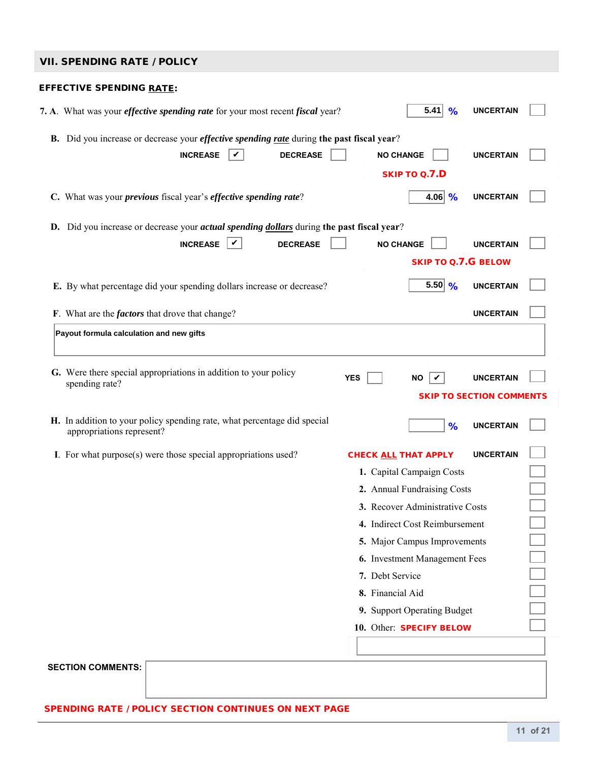## VIL SPENDING RATE / POLICY

| VII. SPENDING KATE / PULICY                                                                                                            |                  |                                 |                                 |  |
|----------------------------------------------------------------------------------------------------------------------------------------|------------------|---------------------------------|---------------------------------|--|
| <b>EFFECTIVE SPENDING RATE:</b>                                                                                                        |                  |                                 |                                 |  |
| 7. A. What was your <i>effective spending rate</i> for your most recent <i>fiscal</i> year?                                            |                  | 5.41<br>%                       | <b>UNCERTAIN</b>                |  |
| B. Did you increase or decrease your <i>effective spending rate</i> during the past fiscal year?<br><b>INCREASE</b><br><b>DECREASE</b> |                  | <b>NO CHANGE</b>                | <b>UNCERTAIN</b>                |  |
|                                                                                                                                        |                  | <b>SKIP TO Q.7.D</b>            |                                 |  |
| C. What was your <i>previous</i> fiscal year's <i>effective spending rate</i> ?                                                        |                  | 4.06 $%$                        | <b>UNCERTAIN</b>                |  |
| <b>D.</b> Did you increase or decrease your <i>actual spending dollars</i> during the past fiscal year?                                |                  |                                 |                                 |  |
| <b>INCREASE</b><br>$\mid \checkmark \mid$<br><b>DECREASE</b>                                                                           |                  | <b>NO CHANGE</b>                | <b>UNCERTAIN</b>                |  |
|                                                                                                                                        |                  | <b>SKIP TO Q.7.G BELOW</b>      |                                 |  |
|                                                                                                                                        |                  |                                 |                                 |  |
| E. By what percentage did your spending dollars increase or decrease?                                                                  |                  | 5.50 %                          | <b>UNCERTAIN</b>                |  |
| F. What are the <i>factors</i> that drove that change?                                                                                 |                  |                                 | <b>UNCERTAIN</b>                |  |
| Payout formula calculation and new gifts                                                                                               |                  |                                 |                                 |  |
|                                                                                                                                        |                  |                                 |                                 |  |
| G. Were there special appropriations in addition to your policy<br>spending rate?                                                      | <b>YES</b>       | ΝO                              | <b>UNCERTAIN</b>                |  |
|                                                                                                                                        |                  |                                 | <b>SKIP TO SECTION COMMENTS</b> |  |
| H. In addition to your policy spending rate, what percentage did special<br>appropriations represent?                                  |                  | %                               | <b>UNCERTAIN</b>                |  |
| I. For what purpose(s) were those special appropriations used?                                                                         |                  | CHECK ALL THAT APPLY            | <b>UNCERTAIN</b>                |  |
|                                                                                                                                        |                  | 1. Capital Campaign Costs       |                                 |  |
|                                                                                                                                        |                  | 2. Annual Fundraising Costs     |                                 |  |
|                                                                                                                                        |                  | 3. Recover Administrative Costs |                                 |  |
|                                                                                                                                        |                  | 4. Indirect Cost Reimbursement  |                                 |  |
|                                                                                                                                        |                  | 5. Major Campus Improvements    |                                 |  |
|                                                                                                                                        |                  | 6. Investment Management Fees   |                                 |  |
|                                                                                                                                        | 7. Debt Service  |                                 |                                 |  |
|                                                                                                                                        | 8. Financial Aid |                                 |                                 |  |
|                                                                                                                                        |                  | 9. Support Operating Budget     |                                 |  |
|                                                                                                                                        |                  | 10. Other: SPECIFY BELOW        |                                 |  |
|                                                                                                                                        |                  |                                 |                                 |  |
| <b>SECTION COMMENTS:</b>                                                                                                               |                  |                                 |                                 |  |

SPENDING RATE / POLICY SECTION CONTINUES ON NEXT PAGE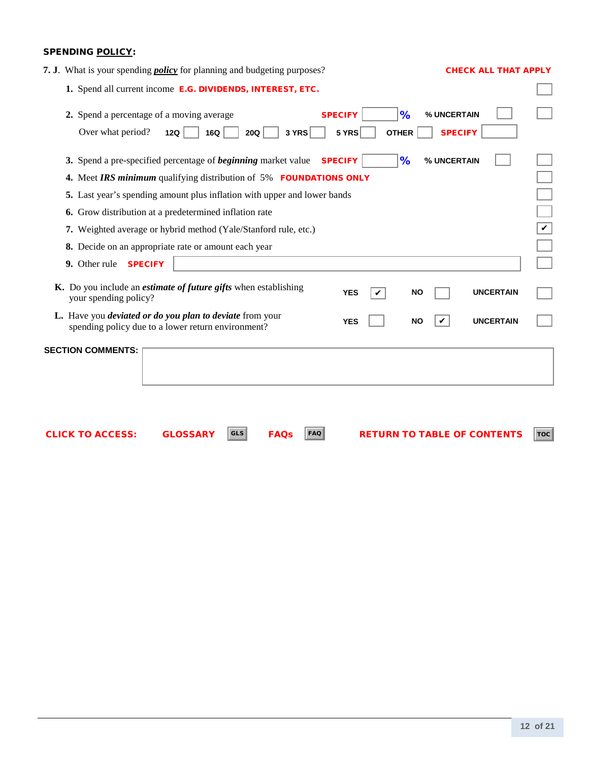### SPENDING POLICY:

| 7. J. What is your spending <i>policy</i> for planning and budgeting purposes?                                                             | <b>CHECK ALL THAT APPLY</b>                                                   |
|--------------------------------------------------------------------------------------------------------------------------------------------|-------------------------------------------------------------------------------|
| 1. Spend all current income E.G. DIVIDENDS, INTEREST, ETC.                                                                                 |                                                                               |
| 2. Spend a percentage of a moving average<br>Over what period?<br>12Q<br>3 YRS<br>16Q<br>20Q                                               | <b>SPECIFY</b><br>%<br>% UNCERTAIN<br><b>SPECIFY</b><br>5 YRS<br><b>OTHER</b> |
| 3. Spend a pre-specified percentage of <i>beginning</i> market value<br>4. Meet IRS minimum qualifying distribution of 5% FOUNDATIONS ONLY | <b>SPECIFY</b><br>%<br>% UNCERTAIN                                            |
| 5. Last year's spending amount plus inflation with upper and lower bands                                                                   |                                                                               |
| 6. Grow distribution at a predetermined inflation rate                                                                                     |                                                                               |
| 7. Weighted average or hybrid method (Yale/Stanford rule, etc.)                                                                            | $\checkmark$                                                                  |
| 8. Decide on an appropriate rate or amount each year                                                                                       |                                                                               |
| 9. Other rule SPECIFY                                                                                                                      |                                                                               |
| K. Do you include an <i>estimate of future gifts</i> when establishing<br>your spending policy?                                            | <b>UNCERTAIN</b><br><b>YES</b><br><b>NO</b><br>✓                              |
| L. Have you <i>deviated or do you plan to deviate</i> from your<br>spending policy due to a lower return environment?                      | <b>UNCERTAIN</b><br><b>YES</b><br><b>NO</b><br>V                              |
| <b>SECTION COMMENTS:</b>                                                                                                                   |                                                                               |
| <b>GLS</b><br><b>GLOSSARY</b><br><b>FAQs</b><br><b>FAQ</b><br><b>CLICK TO ACCESS:</b>                                                      | <b>RETURN TO TABLE OF CONTENTS</b><br>TOC                                     |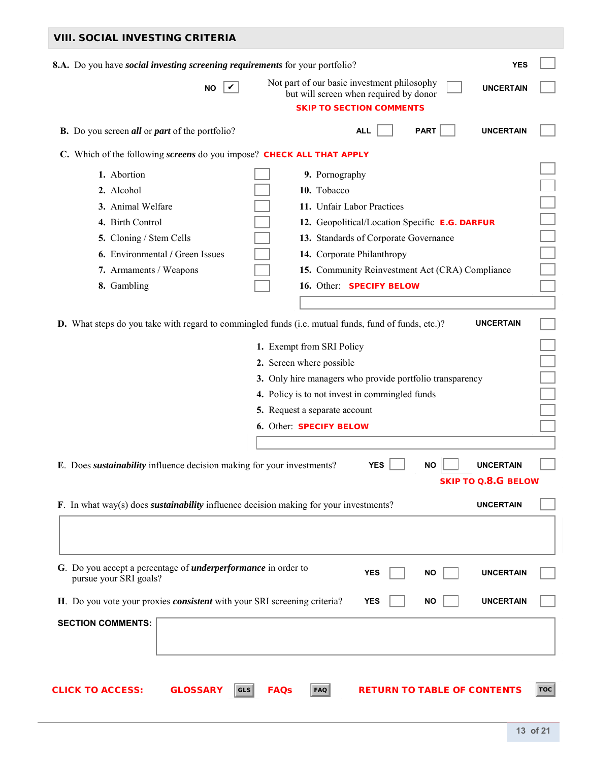| <b>VIII. SOCIAL INVESTING CRITERIA</b>                                                              |                                                                                                                                              |            |
|-----------------------------------------------------------------------------------------------------|----------------------------------------------------------------------------------------------------------------------------------------------|------------|
| 8.A. Do you have <i>social investing screening requirements</i> for your portfolio?                 | <b>YES</b>                                                                                                                                   |            |
| V<br>NO.                                                                                            | Not part of our basic investment philosophy<br><b>UNCERTAIN</b><br>but will screen when required by donor<br><b>SKIP TO SECTION COMMENTS</b> |            |
| <b>B.</b> Do you screen <i>all</i> or <i>part</i> of the portfolio?                                 | <b>ALL</b><br><b>PART</b><br><b>UNCERTAIN</b>                                                                                                |            |
| C. Which of the following screens do you impose? CHECK ALL THAT APPLY                               |                                                                                                                                              |            |
| 1. Abortion                                                                                         | 9. Pornography                                                                                                                               |            |
| 2. Alcohol                                                                                          | 10. Tobacco                                                                                                                                  |            |
| 3. Animal Welfare                                                                                   | 11. Unfair Labor Practices                                                                                                                   |            |
| 4. Birth Control                                                                                    | 12. Geopolitical/Location Specific E.G. DARFUR                                                                                               |            |
| 5. Cloning / Stem Cells                                                                             | 13. Standards of Corporate Governance                                                                                                        |            |
| 6. Environmental / Green Issues                                                                     | 14. Corporate Philanthropy                                                                                                                   |            |
| 7. Armaments / Weapons                                                                              | 15. Community Reinvestment Act (CRA) Compliance                                                                                              |            |
| 8. Gambling                                                                                         | 16. Other: SPECIFY BELOW                                                                                                                     |            |
|                                                                                                     |                                                                                                                                              |            |
| D. What steps do you take with regard to commingled funds (i.e. mutual funds, fund of funds, etc.)? | <b>UNCERTAIN</b>                                                                                                                             |            |
|                                                                                                     |                                                                                                                                              |            |
|                                                                                                     | 1. Exempt from SRI Policy                                                                                                                    |            |
|                                                                                                     | 2. Screen where possible                                                                                                                     |            |
|                                                                                                     | 3. Only hire managers who provide portfolio transparency                                                                                     |            |
|                                                                                                     | 4. Policy is to not invest in commingled funds                                                                                               |            |
|                                                                                                     | 5. Request a separate account                                                                                                                |            |
|                                                                                                     | 6. Other: SPECIFY BELOW                                                                                                                      |            |
|                                                                                                     |                                                                                                                                              |            |
| E. Does <i>sustainability</i> influence decision making for your investments?                       | <b>YES</b><br><b>UNCERTAIN</b>                                                                                                               |            |
|                                                                                                     | <b>SKIP TO Q.8.G BELOW</b>                                                                                                                   |            |
|                                                                                                     | <b>UNCERTAIN</b>                                                                                                                             |            |
| F. In what way(s) does <i>sustainability</i> influence decision making for your investments?        |                                                                                                                                              |            |
|                                                                                                     |                                                                                                                                              |            |
|                                                                                                     |                                                                                                                                              |            |
| G. Do you accept a percentage of <i>underperformance</i> in order to                                |                                                                                                                                              |            |
| pursue your SRI goals?                                                                              | <b>YES</b><br><b>NO</b><br><b>UNCERTAIN</b>                                                                                                  |            |
| H. Do you vote your proxies <i>consistent</i> with your SRI screening criteria?                     | <b>UNCERTAIN</b><br><b>YES</b><br>ΝO                                                                                                         |            |
| <b>SECTION COMMENTS:</b>                                                                            |                                                                                                                                              |            |
|                                                                                                     |                                                                                                                                              |            |
|                                                                                                     |                                                                                                                                              |            |
|                                                                                                     |                                                                                                                                              |            |
| <b>GLOSSARY</b><br><b>CLICK TO ACCESS:</b><br><b>GLS</b>                                            | <b>FAQs</b><br><b>FAQ</b><br><b>RETURN TO TABLE OF CONTENTS</b>                                                                              | <b>TOC</b> |
|                                                                                                     |                                                                                                                                              |            |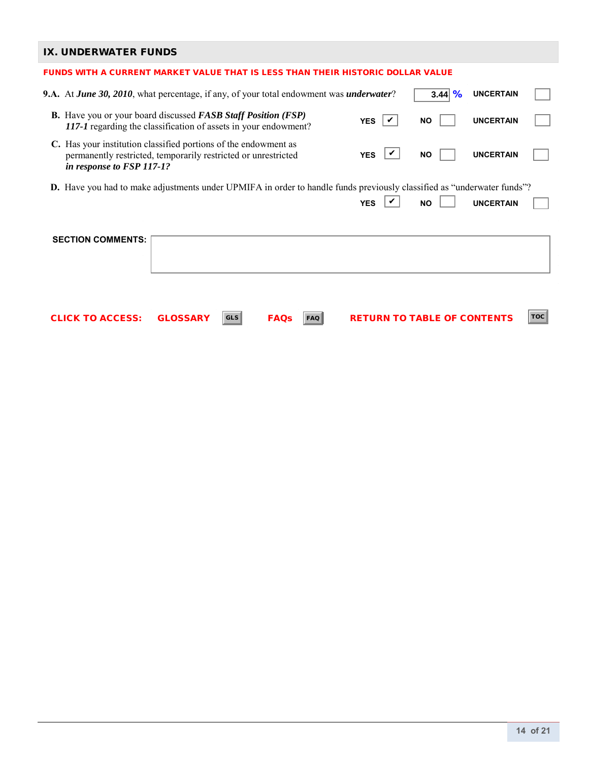## IX. UNDERWATER FUNDS

| IA. UNDERWATER FUNDS                                                                                                                                           |                                                                                 |            |                           |            |          |                                    |                  |            |
|----------------------------------------------------------------------------------------------------------------------------------------------------------------|---------------------------------------------------------------------------------|------------|---------------------------|------------|----------|------------------------------------|------------------|------------|
|                                                                                                                                                                | FUNDS WITH A CURRENT MARKET VALUE THAT IS LESS THAN THEIR HISTORIC DOLLAR VALUE |            |                           |            |          |                                    |                  |            |
| <b>9.A.</b> At <i>June 30, 2010</i> , what percentage, if any, of your total endowment was <i>underwater</i> ?                                                 |                                                                                 |            |                           |            |          | $3.44 \, \frac{\%}{\%}$            | <b>UNCERTAIN</b> |            |
| <b>B.</b> Have you or your board discussed <b>FASB</b> Staff Position (FSP)<br>117-1 regarding the classification of assets in your endowment?                 |                                                                                 |            |                           |            | YES<br>✓ | <b>NO</b>                          | <b>UNCERTAIN</b> |            |
| C. Has your institution classified portions of the endowment as<br>permanently restricted, temporarily restricted or unrestricted<br>in response to FSP 117-1? |                                                                                 |            |                           | <b>YES</b> |          | <b>NO</b>                          | <b>UNCERTAIN</b> |            |
| <b>D.</b> Have you had to make adjustments under UPMIFA in order to handle funds previously classified as "underwater funds"?                                  |                                                                                 |            |                           |            |          |                                    |                  |            |
|                                                                                                                                                                |                                                                                 |            |                           | <b>YES</b> |          | <b>NO</b>                          | <b>UNCERTAIN</b> |            |
| <b>SECTION COMMENTS:</b>                                                                                                                                       |                                                                                 |            |                           |            |          |                                    |                  |            |
| <b>CLICK TO ACCESS:</b>                                                                                                                                        | <b>GLOSSARY</b>                                                                 | <b>GLS</b> | <b>FAQs</b><br><b>FAQ</b> |            |          | <b>RETURN TO TABLE OF CONTENTS</b> |                  | <b>TOC</b> |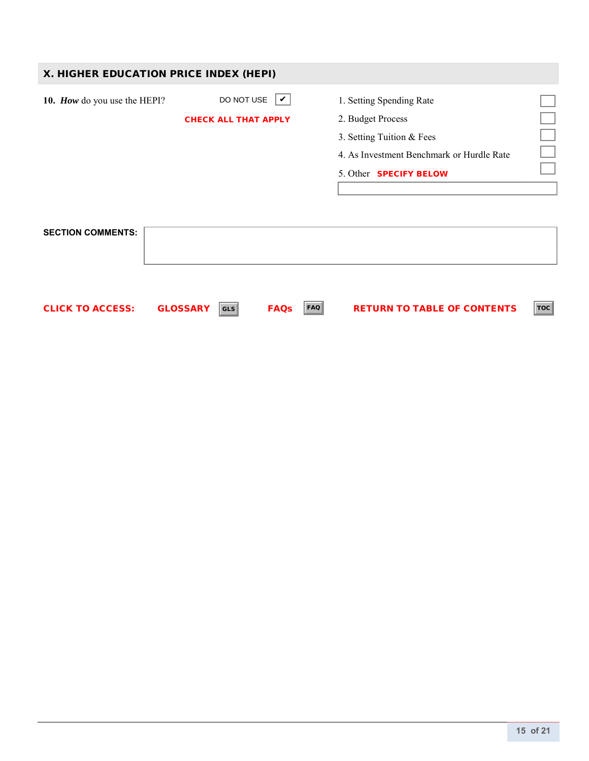| X. HIGHER EDUCATION PRICE INDEX (HEPI) |                                                 |                                                                                                                                                          |  |
|----------------------------------------|-------------------------------------------------|----------------------------------------------------------------------------------------------------------------------------------------------------------|--|
| 10. How do you use the HEPI?           | DO NOT USE $ V $<br><b>CHECK ALL THAT APPLY</b> | 1. Setting Spending Rate<br>2. Budget Process<br>3. Setting Tuition & Fees<br>4. As Investment Benchmark or Hurdle Rate<br>5. Other <b>SPECIFY BELOW</b> |  |
| <b>SECTION COMMENTS:</b>               |                                                 |                                                                                                                                                          |  |

CLICK TO ACCESS: GLOSSARY FAQs RETURN TO TABLE OF CONTENTS GLS FAQ TOC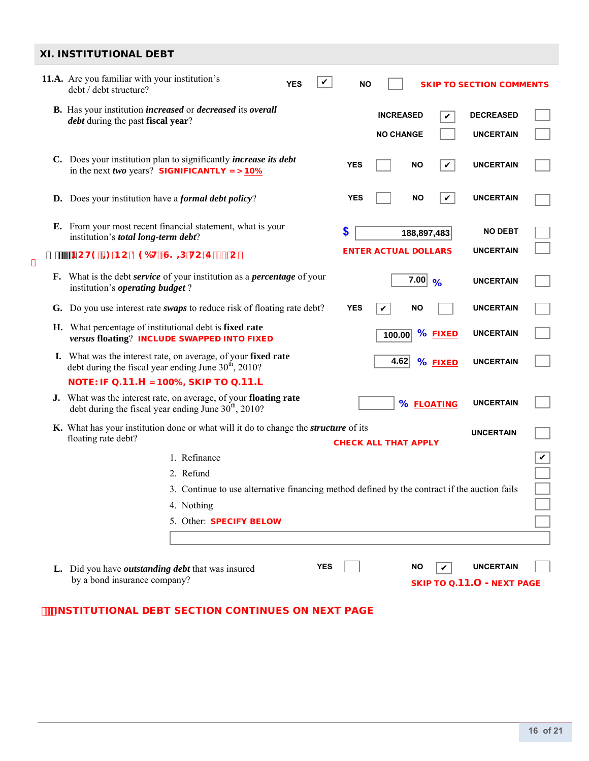### XI. INSTITUTIONAL DEBT

| <i>debt</i> during the past fiscal year?                           | <b>B.</b> Has your institution <i>increased</i> or <i>decreased</i> its <i>overall</i>                                               |            |            |                             |             |               |                  |              |
|--------------------------------------------------------------------|--------------------------------------------------------------------------------------------------------------------------------------|------------|------------|-----------------------------|-------------|---------------|------------------|--------------|
|                                                                    |                                                                                                                                      |            |            | <b>INCREASED</b>            |             | V             | <b>DECREASED</b> |              |
|                                                                    |                                                                                                                                      |            |            | <b>NO CHANGE</b>            |             |               | <b>UNCERTAIN</b> |              |
|                                                                    | C. Does your institution plan to significantly <i>increase its debt</i><br>in the next two years? SIGNIFICANTLY = $> 10\%$           |            | <b>YES</b> |                             | <b>NO</b>   | $\checkmark$  | <b>UNCERTAIN</b> |              |
| <b>D.</b> Does your institution have a <i>formal debt policy</i> ? |                                                                                                                                      |            | <b>YES</b> |                             | <b>NO</b>   | V             | <b>UNCERTAIN</b> |              |
| institution's total long-term debt?                                | <b>E.</b> From your most recent financial statement, what is your                                                                    |            | \$         |                             | 188,897,483 |               | <b>NO DEBT</b>   |              |
| BCH9. = BC 896Hz G? = D HC E '% C                                  |                                                                                                                                      |            |            | <b>ENTER ACTUAL DOLLARS</b> |             |               | <b>UNCERTAIN</b> |              |
| institution's <i>operating budget</i> ?                            | F. What is the debt service of your institution as a <i>percentage</i> of your                                                       |            |            |                             | 7.00        | $\frac{9}{6}$ | <b>UNCERTAIN</b> |              |
|                                                                    | G. Do you use interest rate <i>swaps</i> to reduce risk of floating rate debt?                                                       |            | <b>YES</b> | V                           | <b>NO</b>   |               | <b>UNCERTAIN</b> |              |
|                                                                    | H. What percentage of institutional debt is fixed rate<br>versus floating? INCLUDE SWAPPED INTO FIXED                                |            |            | 100.00                      |             | % FIXED       | <b>UNCERTAIN</b> |              |
|                                                                    | I. What was the interest rate, on average, of your fixed rate<br>debt during the fiscal year ending June $30th$ , 2010?              |            |            | 4.62                        |             | % FIXED       | <b>UNCERTAIN</b> |              |
|                                                                    | NOTE: IF Q.11.H = 100%, SKIP TO Q.11.L                                                                                               |            |            |                             |             |               |                  |              |
|                                                                    | J. What was the interest rate, on average, of your floating rate<br>debt during the fiscal year ending June 30 <sup>th</sup> , 2010? |            |            |                             |             | % FLOATING    | <b>UNCERTAIN</b> |              |
| floating rate debt?                                                | K. What has your institution done or what will it do to change the <i>structure</i> of its                                           |            |            | <b>CHECK ALL THAT APPLY</b> |             |               | <b>UNCERTAIN</b> |              |
|                                                                    | 1. Refinance                                                                                                                         |            |            |                             |             |               |                  | $\checkmark$ |
|                                                                    | 2. Refund                                                                                                                            |            |            |                             |             |               |                  |              |
|                                                                    | 3. Continue to use alternative financing method defined by the contract if the auction fails                                         |            |            |                             |             |               |                  |              |
|                                                                    | 4. Nothing                                                                                                                           |            |            |                             |             |               |                  |              |
|                                                                    | 5. Other: SPECIFY BELOW                                                                                                              |            |            |                             |             |               |                  |              |
|                                                                    |                                                                                                                                      |            |            |                             |             |               |                  |              |
| L. Did you have <i>outstanding debt</i> that was insured           |                                                                                                                                      | <b>YES</b> |            |                             | ΝO          |               | <b>UNCERTAIN</b> |              |

### **INSTITUTIONAL DEBT SECTION CONTINUES ON NEXT PAGE**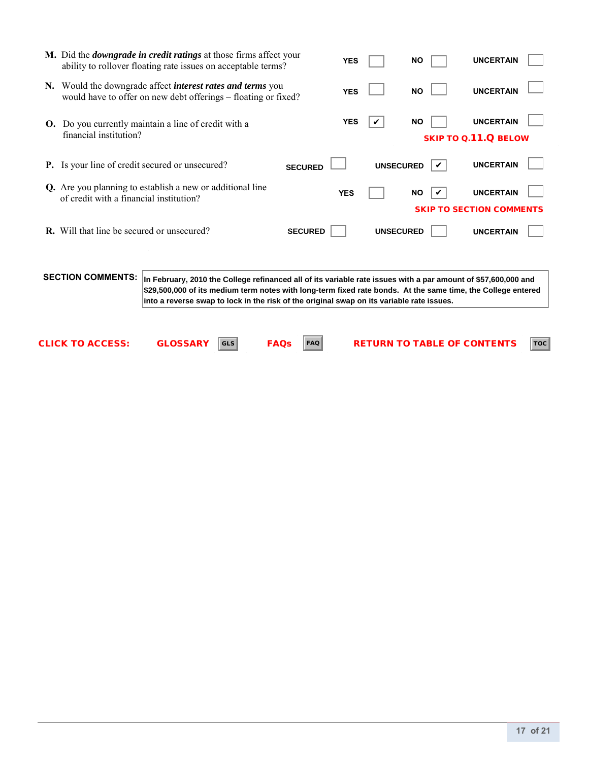|    | M. Did the <i>downgrade in credit ratings</i> at those firms affect your<br>ability to rollover floating rate issues on acceptable terms? |                                                                                                                                                                                                                                                                                                                             |                           |                | <b>YES</b> |                  | <b>NO</b>                          | <b>UNCERTAIN</b>                                    |            |
|----|-------------------------------------------------------------------------------------------------------------------------------------------|-----------------------------------------------------------------------------------------------------------------------------------------------------------------------------------------------------------------------------------------------------------------------------------------------------------------------------|---------------------------|----------------|------------|------------------|------------------------------------|-----------------------------------------------------|------------|
|    | N. Would the downgrade affect <i>interest rates and terms</i> you<br>would have to offer on new debt offerings - floating or fixed?       |                                                                                                                                                                                                                                                                                                                             |                           |                | <b>YES</b> |                  | <b>NO</b>                          | <b>UNCERTAIN</b>                                    |            |
| O. | Do you currently maintain a line of credit with a<br>financial institution?                                                               |                                                                                                                                                                                                                                                                                                                             |                           |                | <b>YES</b> |                  | <b>NO</b>                          | <b>UNCERTAIN</b><br><b>SKIP TO Q.11.Q BELOW</b>     |            |
|    | <b>P.</b> Is your line of credit secured or unsecured?                                                                                    |                                                                                                                                                                                                                                                                                                                             |                           | <b>SECURED</b> |            | <b>UNSECURED</b> |                                    | <b>UNCERTAIN</b>                                    |            |
|    | Q. Are you planning to establish a new or additional line<br>of credit with a financial institution?                                      |                                                                                                                                                                                                                                                                                                                             |                           |                | <b>YES</b> |                  | <b>NO</b>                          | <b>UNCERTAIN</b><br><b>SKIP TO SECTION COMMENTS</b> |            |
|    | <b>R.</b> Will that line be secured or unsecured?                                                                                         |                                                                                                                                                                                                                                                                                                                             |                           | <b>SECURED</b> |            | <b>UNSECURED</b> |                                    | <b>UNCERTAIN</b>                                    |            |
|    | <b>SECTION COMMENTS:</b>                                                                                                                  | In February, 2010 the College refinanced all of its variable rate issues with a par amount of \$57,600,000 and<br>\$29,500,000 of its medium term notes with long-term fixed rate bonds. At the same time, the College entered<br>into a reverse swap to lock in the risk of the original swap on its variable rate issues. |                           |                |            |                  |                                    |                                                     |            |
|    | <b>CLICK TO ACCESS:</b>                                                                                                                   | <b>GLOSSARY</b>                                                                                                                                                                                                                                                                                                             | <b>FAQs</b><br><b>GLS</b> | <b>FAQ</b>     |            |                  | <b>RETURN TO TABLE OF CONTENTS</b> |                                                     | <b>TOC</b> |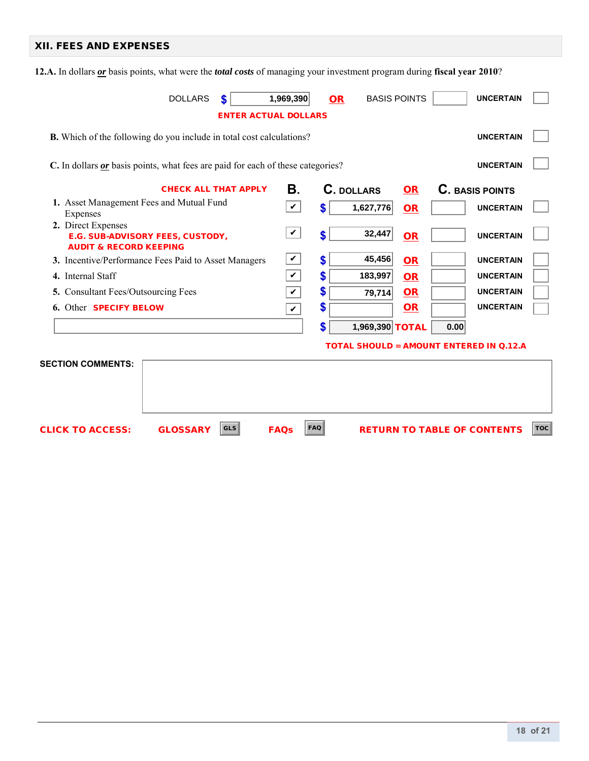## XII. FEES AND EXPENSES

**12.A.** In dollars *or* basis points, what were the *total costs* of managing your investment program during **fiscal year 2010**?

| 1,969,390<br><b>DOLLARS</b><br><b>BASIS POINTS</b><br><b>UNCERTAIN</b><br><b>OR</b><br><b>ENTER ACTUAL DOLLARS</b> |              |                   |                 |           |      |                                                |                |
|--------------------------------------------------------------------------------------------------------------------|--------------|-------------------|-----------------|-----------|------|------------------------------------------------|----------------|
| <b>B.</b> Which of the following do you include in total cost calculations?<br><b>UNCERTAIN</b>                    |              |                   |                 |           |      |                                                |                |
| C. In dollars or basis points, what fees are paid for each of these categories?<br><b>UNCERTAIN</b>                |              |                   |                 |           |      |                                                |                |
| <b>CHECK ALL THAT APPLY</b>                                                                                        | В.           | <b>C.</b> DOLLARS |                 | <b>OR</b> |      | <b>C.</b> BASIS POINTS                         |                |
| 1. Asset Management Fees and Mutual Fund<br>Expenses                                                               | $\checkmark$ | \$                | 1,627,776       | <b>OR</b> |      | <b>UNCERTAIN</b>                               |                |
| 2. Direct Expenses<br>E.G. SUB-ADVISORY FEES, CUSTODY,<br><b>AUDIT &amp; RECORD KEEPING</b>                        | $\checkmark$ | $\mathbf{s}$      | 32,447          | <b>OR</b> |      | <b>UNCERTAIN</b>                               |                |
| 3. Incentive/Performance Fees Paid to Asset Managers                                                               | $\checkmark$ | \$                | 45,456          | <b>OR</b> |      | <b>UNCERTAIN</b>                               |                |
| 4. Internal Staff                                                                                                  | $\checkmark$ | \$                | 183,997         | <b>OR</b> |      | <b>UNCERTAIN</b>                               |                |
| 5. Consultant Fees/Outsourcing Fees                                                                                | $\checkmark$ | \$                | 79,714          | OR        |      | <b>UNCERTAIN</b>                               |                |
| 6. Other <b>SPECIFY BELOW</b>                                                                                      | $\checkmark$ | \$                |                 | OR        |      | <b>UNCERTAIN</b>                               |                |
|                                                                                                                    |              | \$                | 1,969,390 TOTAL |           | 0.00 |                                                |                |
|                                                                                                                    |              |                   |                 |           |      | <b>TOTAL SHOULD = AMOUNT ENTERED IN Q.12.A</b> |                |
| <b>SECTION COMMENTS:</b>                                                                                           |              |                   |                 |           |      |                                                |                |
| <b>GLS</b><br><b>GLOSSARY</b><br><b>CLICK TO ACCESS:</b>                                                           | <b>FAQs</b>  | <b>FAQ</b>        |                 |           |      | <b>RETURN TO TABLE OF CONTENTS</b>             | $\textsf{TOC}$ |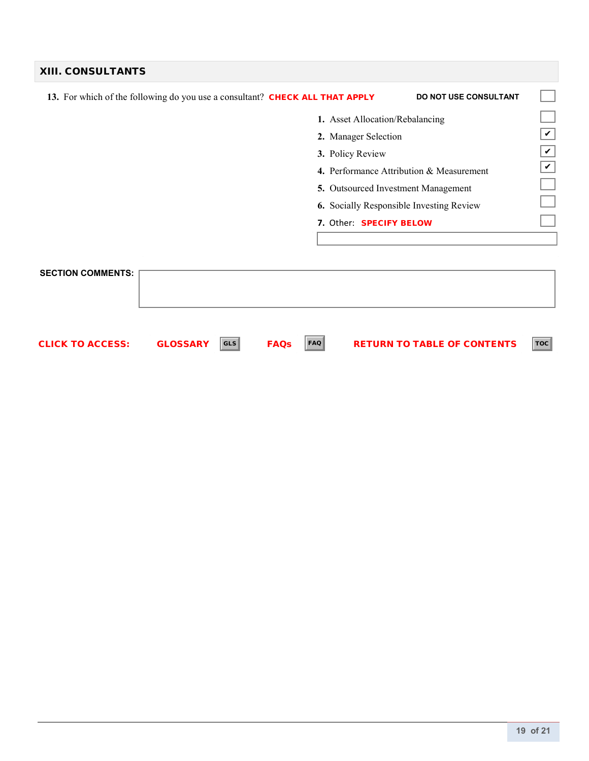| <b>XIII. CONSULTANTS</b>                                                     |                                                          |
|------------------------------------------------------------------------------|----------------------------------------------------------|
| 13. For which of the following do you use a consultant? CHECK ALL THAT APPLY | <b>DO NOT USE CONSULTANT</b>                             |
|                                                                              | 1. Asset Allocation/Rebalancing                          |
|                                                                              | $\checkmark$<br>2. Manager Selection                     |
| 3. Policy Review                                                             | V                                                        |
|                                                                              | $\checkmark$<br>4. Performance Attribution & Measurement |
|                                                                              | 5. Outsourced Investment Management                      |
|                                                                              | <b>6.</b> Socially Responsible Investing Review          |
|                                                                              | 7. Other: SPECIFY BELOW                                  |
|                                                                              |                                                          |
|                                                                              |                                                          |
| <b>SECTION COMMENTS:</b>                                                     |                                                          |
|                                                                              |                                                          |
|                                                                              |                                                          |

 $\textsf{CLICK TO ACCESS:} \qquad \textsf{GLOSSARY} \; \; |\rm{cts}| \qquad \textsf{FAQs} \quad \; |\rm{FAQ} \; \; \qquad \textsf{RETURN TO TABLE OF CONTENTS} \; \; |\rm{TOC} \; \; |\rm{TC} \; \; |\rm{TC} \; \; |\rm{TC} \; \; |\rm{TC} \; \; |\rm{TC} \; \; |\rm{TC} \; \; |\rm{TC} \; \; |\rm{TC} \; \; |\rm{TC} \; \; |\rm{TC} \; \; |\rm{TC} \; \; |\rm{TC} \; \; |\rm{TC} \; \; |\rm{TC} \; \; |\rm{TC} \; \$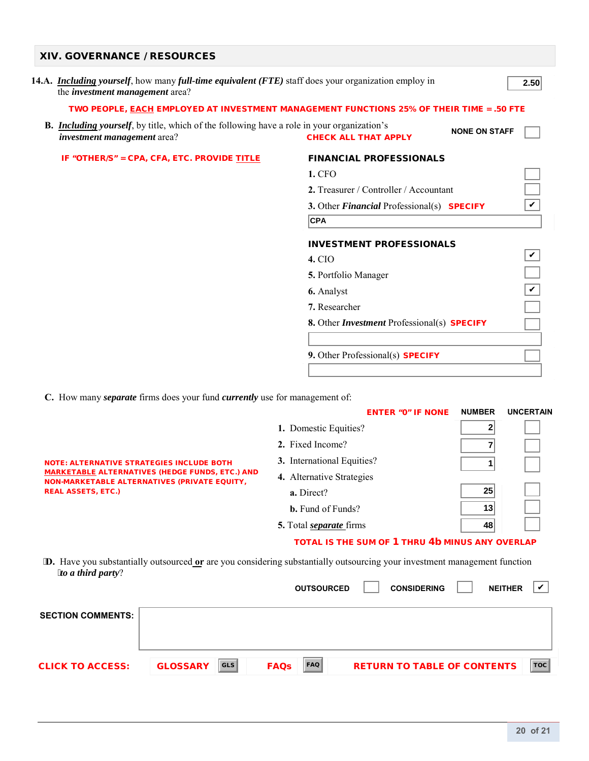| <b>XIV. GOVERNANCE / RESOURCES</b>                                                                                                                            |                                                                                          |
|---------------------------------------------------------------------------------------------------------------------------------------------------------------|------------------------------------------------------------------------------------------|
| 14.A. <i>Including yourself</i> , how many <i>full-time equivalent (FTE)</i> staff does your organization employ in<br>the <i>investment management</i> area? | 2.50                                                                                     |
|                                                                                                                                                               | TWO PEOPLE, EACH EMPLOYED AT INVESTMENT MANAGEMENT FUNCTIONS 25% OF THEIR TIME = .50 FTE |
| <b>B.</b> Including yourself, by title, which of the following have a role in your organization's<br><i>investment management</i> area?                       | <b>NONE ON STAFF</b><br><b>CHECK ALL THAT APPLY</b>                                      |
| IF "OTHER/S" = CPA, CFA, ETC. PROVIDE TITLE                                                                                                                   | <b>FINANCIAL PROFESSIONALS</b>                                                           |
|                                                                                                                                                               | 1. CFO                                                                                   |
|                                                                                                                                                               | 2. Treasurer / Controller / Accountant                                                   |
|                                                                                                                                                               | V<br>3. Other Financial Professional(s) SPECIFY                                          |
|                                                                                                                                                               | <b>CPA</b>                                                                               |
|                                                                                                                                                               | <b>INVESTMENT PROFESSIONALS</b>                                                          |
|                                                                                                                                                               | <b>4. CIO</b>                                                                            |
|                                                                                                                                                               | 5. Portfolio Manager                                                                     |
|                                                                                                                                                               | 6. Analyst                                                                               |
|                                                                                                                                                               | 7. Researcher                                                                            |
|                                                                                                                                                               | 8. Other <i>Investment</i> Professional(s) <b>SPECIFY</b>                                |
|                                                                                                                                                               |                                                                                          |
|                                                                                                                                                               | 9. Other Professional(s) SPECIFY                                                         |

 **C.** How many *separate* firms does your fund *currently* use for management of:

|                                                                                                                                                                                                | <b>ENTER "O" IF NONE</b>                        | <b>NUMBER</b> | <b>UNCERTAIN</b> |  |
|------------------------------------------------------------------------------------------------------------------------------------------------------------------------------------------------|-------------------------------------------------|---------------|------------------|--|
| <b>NOTE: ALTERNATIVE STRATEGIES INCLUDE BOTH</b><br><b>MARKETABLE ALTERNATIVES (HEDGE FUNDS, ETC.) AND</b><br><b>NON-MARKETABLE ALTERNATIVES (PRIVATE EQUITY,</b><br><b>REAL ASSETS, ETC.)</b> | 1. Domestic Equities?                           |               |                  |  |
|                                                                                                                                                                                                | 2. Fixed Income?                                |               |                  |  |
|                                                                                                                                                                                                | 3. International Equities?                      |               |                  |  |
|                                                                                                                                                                                                | 4. Alternative Strategies                       |               |                  |  |
|                                                                                                                                                                                                | a. Direct?                                      | 25            |                  |  |
|                                                                                                                                                                                                | <b>b.</b> Fund of Funds?                        | 13            |                  |  |
|                                                                                                                                                                                                | 5. Total <i>separate</i> firms                  | 48            |                  |  |
|                                                                                                                                                                                                | TOTAL IS THE SUM OF 1 THRU 4b MINUS ANY OVERLAP |               |                  |  |

**D.** Have you substantially outsourced **or** are you considering substantially outsourcing your investment management function *to a third party*?

 $\overline{\phantom{0}}$ 

H ٦

|                          |                               | <b>OUTSOURCED</b>         | <b>CONSIDERING</b>                 | <b>NEITHER</b> | v          |
|--------------------------|-------------------------------|---------------------------|------------------------------------|----------------|------------|
| <b>SECTION COMMENTS:</b> |                               |                           |                                    |                |            |
|                          |                               |                           |                                    |                |            |
| <b>CLICK TO ACCESS:</b>  | <b>GLS</b><br><b>GLOSSARY</b> | <b>FAQ</b><br><b>FAQS</b> | <b>RETURN TO TABLE OF CONTENTS</b> |                | <b>TOC</b> |